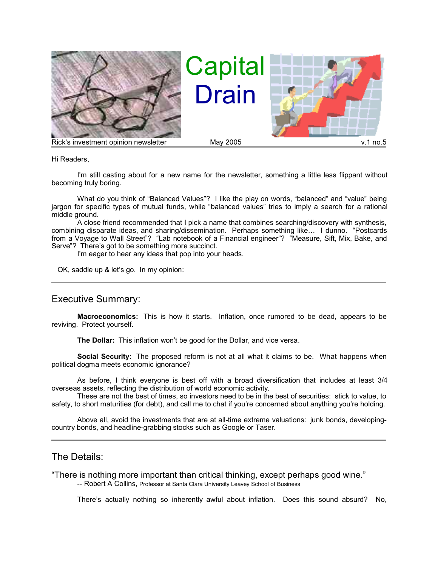

Hi Readers,

I'm still casting about for a new name for the newsletter, something a little less flippant without becoming truly boring.

What do you think of "Balanced Values"? I like the play on words, "balanced" and "value" being jargon for specific types of mutual funds, while "balanced values" tries to imply a search for a rational middle ground.

A close friend recommended that I pick a name that combines searching/discovery with synthesis, combining disparate ideas, and sharing/dissemination. Perhaps something like… I dunno. "Postcards from a Voyage to Wall Street"? "Lab notebook of a Financial engineer"? "Measure, Sift, Mix, Bake, and Serve"? There's got to be something more succinct.

I'm eager to hear any ideas that pop into your heads.

OK, saddle up & let's go. In my opinion:

## Executive Summary:

**Macroeconomics:** This is how it starts. Inflation, once rumored to be dead, appears to be reviving. Protect yourself.

**The Dollar:** This inflation won't be good for the Dollar, and vice versa.

**Social Security:** The proposed reform is not at all what it claims to be. What happens when political dogma meets economic ignorance?

As before, I think everyone is best off with a broad diversification that includes at least 3/4 overseas assets, reflecting the distribution of world economic activity.

These are not the best of times, so investors need to be in the best of securities: stick to value, to safety, to short maturities (for debt), and call me to chat if you're concerned about anything you're holding.

Above all, avoid the investments that are at all-time extreme valuations: junk bonds, developingcountry bonds, and headline-grabbing stocks such as Google or Taser.

## The Details:

"There is nothing more important than critical thinking, except perhaps good wine."

-- Robert A Collins, Professor at Santa Clara University Leavey School of Business

There's actually nothing so inherently awful about inflation. Does this sound absurd? No,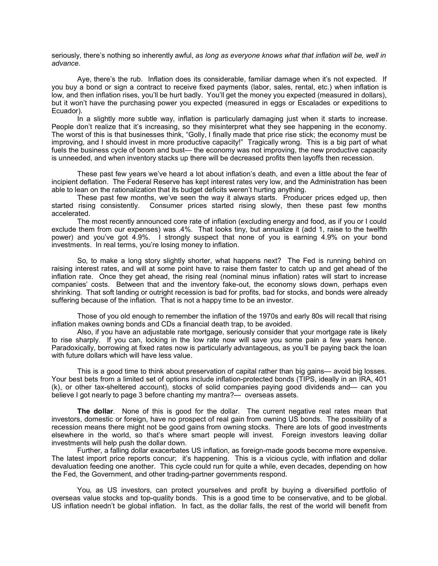seriously, there's nothing so inherently awful, *as long as everyone knows what that inflation will be, well in advance*.

Aye, there's the rub. Inflation does its considerable, familiar damage when it's not expected. If you buy a bond or sign a contract to receive fixed payments (labor, sales, rental, etc.) when inflation is low, and then inflation rises, you'll be hurt badly. You'll get the money you expected (measured in dollars), but it won't have the purchasing power you expected (measured in eggs or Escalades or expeditions to Ecuador).

In a slightly more subtle way, inflation is particularly damaging just when it starts to increase. People don't realize that it's increasing, so they misinterpret what they see happening in the economy. The worst of this is that businesses think, "Golly, I finally made that price rise stick; the economy must be improving, and I should invest in more productive capacity!" Tragically wrong. This is a big part of what fuels the business cycle of boom and bust— the economy was not improving, the new productive capacity is unneeded, and when inventory stacks up there will be decreased profits then layoffs then recession.

These past few years we've heard a lot about inflation's death, and even a little about the fear of incipient deflation. The Federal Reserve has kept interest rates very low, and the Administration has been able to lean on the rationalization that its budget deficits weren't hurting anything.

These past few months, we've seen the way it always starts. Producer prices edged up, then started rising consistently. Consumer prices started rising slowly, then these past few months accelerated.

The most recently announced core rate of inflation (excluding energy and food, as if you or I could exclude them from our expenses) was .4%. That looks tiny, but annualize it (add 1, raise to the twelfth power) and you've got 4.9%. I strongly suspect that none of you is earning 4.9% on your bond investments. In real terms, you're losing money to inflation.

So, to make a long story slightly shorter, what happens next? The Fed is running behind on raising interest rates, and will at some point have to raise them faster to catch up and get ahead of the inflation rate. Once they get ahead, the rising real (nominal minus inflation) rates will start to increase companies' costs. Between that and the inventory fake-out, the economy slows down, perhaps even shrinking. That soft landing or outright recession is bad for profits, bad for stocks, and bonds were already suffering because of the inflation. That is not a happy time to be an investor.

Those of you old enough to remember the inflation of the 1970s and early 80s will recall that rising inflation makes owning bonds and CDs a financial death trap, to be avoided.

Also, if you have an adjustable rate mortgage, seriously consider that your mortgage rate is likely to rise sharply. If you can, locking in the low rate now will save you some pain a few years hence. Paradoxically, borrowing at fixed rates now is particularly advantageous, as you'll be paying back the loan with future dollars which will have less value.

This is a good time to think about preservation of capital rather than big gains— avoid big losses. Your best bets from a limited set of options include inflation-protected bonds (TIPS, ideally in an IRA, 401 (k), or other tax-sheltered account), stocks of solid companies paying good dividends and— can you believe I got nearly to page 3 before chanting my mantra?— overseas assets.

**The dollar**. None of this is good for the dollar. The current negative real rates mean that investors, domestic or foreign, have no prospect of real gain from owning US bonds. The possibility of a recession means there might not be good gains from owning stocks. There are lots of good investments elsewhere in the world, so that's where smart people will invest. Foreign investors leaving dollar investments will help push the dollar down.

Further, a falling dollar exacerbates US inflation, as foreign-made goods become more expensive. The latest import price reports concur; it's happening. This is a vicious cycle, with inflation and dollar devaluation feeding one another. This cycle could run for quite a while, even decades, depending on how the Fed, the Government, and other trading-partner governments respond.

You, as US investors, can protect yourselves and profit by buying a diversified portfolio of overseas value stocks and top-quality bonds. This is a good time to be conservative, and to be global. US inflation needn't be global inflation. In fact, as the dollar falls, the rest of the world will benefit from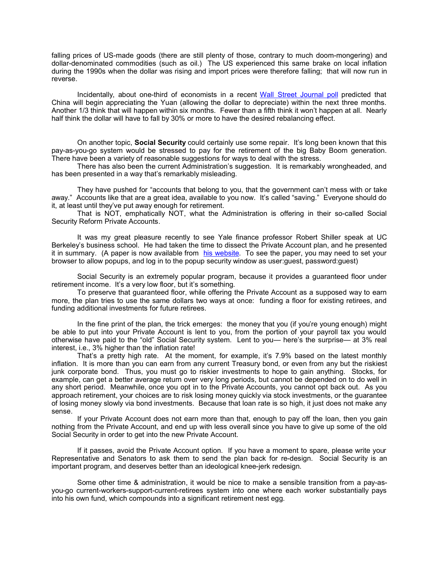falling prices of US-made goods (there are still plenty of those, contrary to much doom-mongering) and dollar-denominated commodities (such as oil.) The US experienced this same brake on local inflation during the 1990s when the dollar was rising and import prices were therefore falling; that will now run in reverse.

Incidentally, about one-third of economists in a recent Wall Street Journal poll predicted that China will begin appreciating the Yuan (allowing the dollar to depreciate) within the next three months. Another 1/3 think that will happen within six months. Fewer than a fifth think it won't happen at all. Nearly half think the dollar will have to fall by 30% or more to have the desired rebalancing effect.

On another topic, **Social Security** could certainly use some repair. It's long been known that this pay-as-you-go system would be stressed to pay for the retirement of the big Baby Boom generation. There have been a variety of reasonable suggestions for ways to deal with the stress.

There has also been the current Administration's suggestion. It is remarkably wrongheaded, and has been presented in a way that's remarkably misleading.

They have pushed for "accounts that belong to you, that the government can't mess with or take away." Accounts like that are a great idea, available to you now. It's called "saving." Everyone should do it, at least until they've put away enough for retirement.

That is NOT, emphatically NOT, what the Administration is offering in their so-called Social Security Reform Private Accounts.

It was my great pleasure recently to see Yale finance professor Robert Shiller speak at UC Berkeley's business school. He had taken the time to dissect the Private Account plan, and he presented it in summary. (A paper is now available from his website. To see the paper, you may need to set your browser to allow popups, and log in to the popup security window as user:guest, password:guest)

Social Security is an extremely popular program, because it provides a guaranteed floor under retirement income. It's a very low floor, but it's something.

To preserve that guaranteed floor, while offering the Private Account as a supposed way to earn more, the plan tries to use the same dollars two ways at once: funding a floor for existing retirees, and funding additional investments for future retirees.

In the fine print of the plan, the trick emerges: the money that you (if you're young enough) might be able to put into your Private Account is lent to you, from the portion of your payroll tax you would otherwise have paid to the "old" Social Security system. Lent to you— here's the surprise— at 3% real interest, i.e., 3% higher than the inflation rate!

That's a pretty high rate. At the moment, for example, it's 7.9% based on the latest monthly inflation. It is more than you can earn from any current Treasury bond, or even from any but the riskiest junk corporate bond. Thus, you must go to riskier investments to hope to gain anything. Stocks, for example, can get a better average return over very long periods, but cannot be depended on to do well in any short period. Meanwhile, once you opt in to the Private Accounts, you cannot opt back out. As you approach retirement, your choices are to risk losing money quickly via stock investments, or the guarantee of losing money slowly via bond investments. Because that loan rate is so high, it just does not make any sense.

If your Private Account does not earn more than that, enough to pay off the loan, then you gain nothing from the Private Account, and end up with less overall since you have to give up some of the old Social Security in order to get into the new Private Account.

If it passes, avoid the Private Account option. If you have a moment to spare, please write your Representative and Senators to ask them to send the plan back for re-design. Social Security is an important program, and deserves better than an ideological knee-jerk redesign.

Some other time & administration, it would be nice to make a sensible transition from a pay-asyou-go current-workers-support-current-retirees system into one where each worker substantially pays into his own fund, which compounds into a significant retirement nest egg.